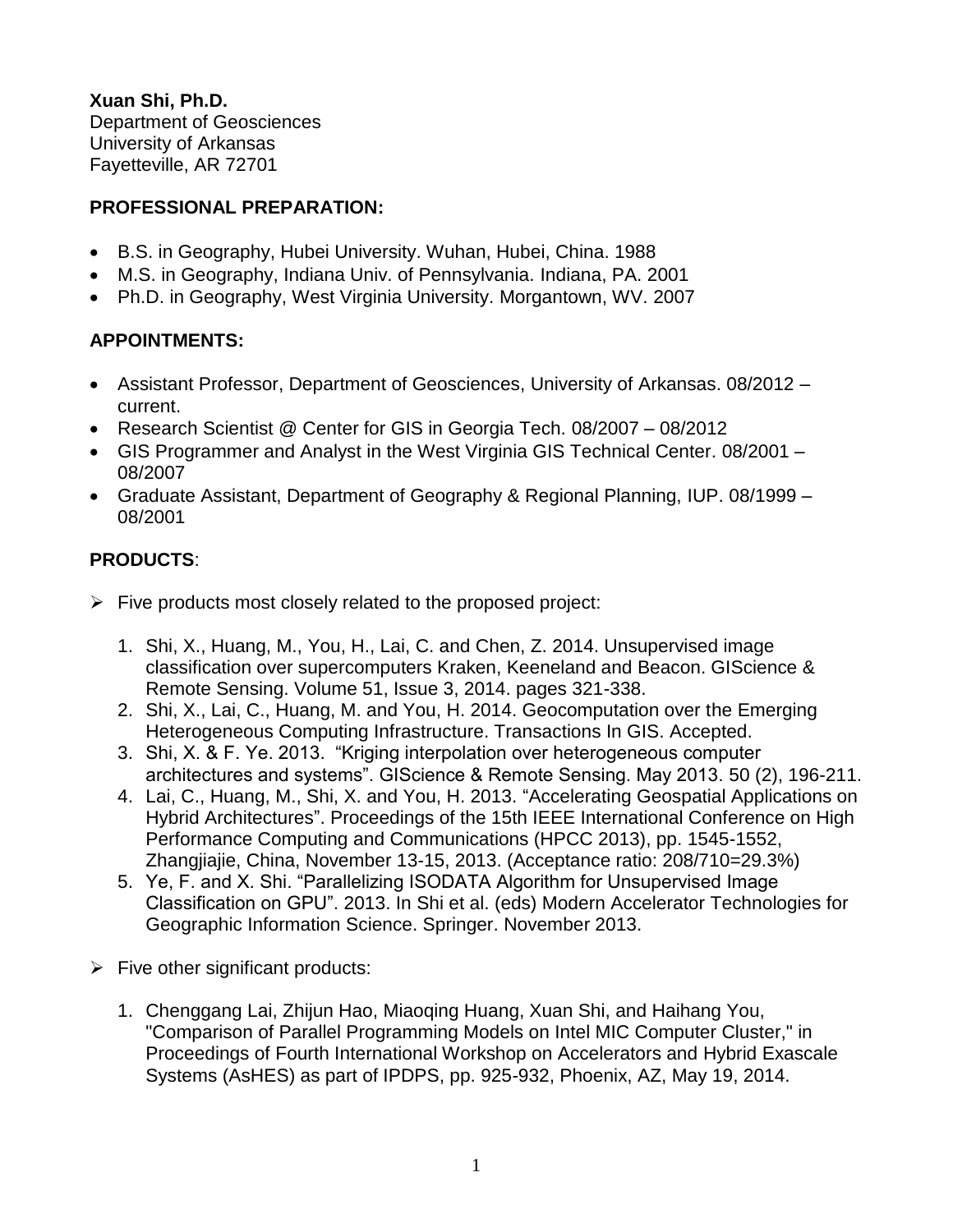**Xuan Shi, Ph.D.** Department of Geosciences University of Arkansas Fayetteville, AR 72701

# **PROFESSIONAL PREPARATION:**

- B.S. in Geography, Hubei University. Wuhan, Hubei, China. 1988
- M.S. in Geography, Indiana Univ. of Pennsylvania. Indiana, PA. 2001
- Ph.D. in Geography, West Virginia University. Morgantown, WV. 2007

# **APPOINTMENTS:**

- Assistant Professor, Department of Geosciences, University of Arkansas. 08/2012 current.
- Research Scientist @ Center for GIS in Georgia Tech. 08/2007 08/2012
- GIS Programmer and Analyst in the West Virginia GIS Technical Center. 08/2001 08/2007
- Graduate Assistant, Department of Geography & Regional Planning, IUP. 08/1999 08/2001

# **PRODUCTS**:

- $\triangleright$  Five products most closely related to the proposed project:
	- 1. Shi, X., Huang, M., You, H., Lai, C. and Chen, Z. 2014. Unsupervised image classification over supercomputers Kraken, Keeneland and Beacon. GIScience & Remote Sensing. Volume 51, Issue 3, 2014. pages 321-338.
	- 2. Shi, X., Lai, C., Huang, M. and You, H. 2014. Geocomputation over the Emerging Heterogeneous Computing Infrastructure. Transactions In GIS. Accepted.
	- 3. Shi, X. & F. Ye. 2013. "Kriging interpolation over heterogeneous computer architectures and systems". GIScience & Remote Sensing. May 2013. 50 (2), 196-211.
	- 4. Lai, C., Huang, M., Shi, X. and You, H. 2013. "Accelerating Geospatial Applications on Hybrid Architectures". Proceedings of the 15th IEEE International Conference on High Performance Computing and Communications (HPCC 2013), pp. 1545-1552, Zhangjiajie, China, November 13-15, 2013. (Acceptance ratio: 208/710=29.3%)
	- 5. Ye, F. and X. Shi. "Parallelizing ISODATA Algorithm for Unsupervised Image Classification on GPU". 2013. In Shi et al. (eds) Modern Accelerator Technologies for Geographic Information Science. Springer. November 2013.
- $\triangleright$  Five other significant products:
	- 1. Chenggang Lai, Zhijun Hao, Miaoqing Huang, Xuan Shi, and Haihang You, "Comparison of Parallel Programming Models on Intel MIC Computer Cluster," in Proceedings of Fourth International Workshop on Accelerators and Hybrid Exascale Systems (AsHES) as part of IPDPS, pp. 925-932, Phoenix, AZ, May 19, 2014.